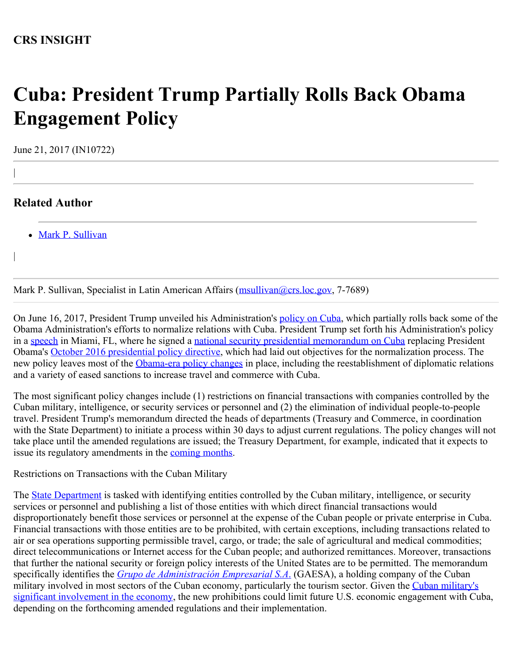# **Cuba: President Trump Partially Rolls Back Obama Engagement Policy**

June 21, 2017 (IN10722)

## **Related Author**

|

|

• [Mark P. Sullivan](http://www.crs.gov/Author/index?id=3837)

Mark P. Sullivan, Specialist in Latin American Affairs [\(msullivan@crs.loc.gov](mailto:msullivan@crs.loc.gov), 7-7689)

On June 16, 2017, President Trump unveiled his Administration's [policy on Cuba](https://www.whitehouse.gov/blog/2017/06/16/fact-sheet-cuba-policy), which partially rolls back some of the Obama Administration's efforts to normalize relations with Cuba. President Trump set forth his Administration's policy in a [speech](https://www.whitehouse.gov/the-press-office/2017/06/16/remarks-president-trump-policy-united-states-towards-cuba) in Miami, FL, where he signed a [national security presidential memorandum](https://www.whitehouse.gov/the-press-office/2017/06/16/national-security-presidential-memorandum-strengthening-policy-united) [on Cuba](https://www.whitehouse.gov/the-press-office/2017/06/16/national-security-presidential-memorandum-strengthening-policy-united) replacing President Obama's [October 2016 presidential policy directive](https://obamawhitehouse.archives.gov/the-press-office/2016/10/14/presidential-policy-directive-united-states-cuba-normalization), which had laid out objectives for the normalization process. The new policy leaves most of the [Obama-era policy changes](https://fas.org/sgp/crs/row/R44822.pdf) in place, including the reestablishment of diplomatic relations and a variety of eased sanctions to increase travel and commerce with Cuba.

The most significant policy changes include (1) restrictions on financial transactions with companies controlled by the Cuban military, intelligence, or security services or personnel and (2) the elimination of individual people-to-people travel. President Trump's memorandum directed the heads of departments (Treasury and Commerce, in coordination with the State Department) to initiate a process within 30 days to adjust current regulations. The policy changes will not take place until the amended regulations are issued; the Treasury Department, for example, indicated that it expects to issue its regulatory amendments in the [coming months](https://www.treasury.gov/resource-center/sanctions/Programs/Documents/cuba_faqs_20170616.pdf).

Restrictions on Transactions with the Cuban Military

The **State Department** is tasked with identifying entities controlled by the Cuban military, intelligence, or security services or personnel and publishing a list of those entities with which direct financial transactions would disproportionately benefit those services or personnel at the expense of the Cuban people or private enterprise in Cuba. Financial transactions with those entities are to be prohibited, with certain exceptions, including transactions related to air or sea operations supporting permissible travel, cargo, or trade; the sale of agricultural and medical commodities; direct telecommunications or Internet access for the Cuban people; and authorized remittances. Moreover, transactions that further the national security or foreign policy interests of the United States are to be permitted. The memorandum specifically identifies the *[Grupo de Administración](http://www.miamiherald.com/news/nation-world/world/americas/cuba/article155772469.html) [Empresarial S.A](http://www.miamiherald.com/news/nation-world/world/americas/cuba/article155772469.html)*[.](http://www.miamiherald.com/news/nation-world/world/americas/cuba/article155772469.html) (GAESA), a holding company of the Cuban military involved in most sectors of the Cuban economy, particularly the tourism sector. Given the [Cuban military's](https://www.reuters.com/article/us-usa-cuba-military-idUSKBN1962VK) [significant involvement in the economy](https://www.reuters.com/article/us-usa-cuba-military-idUSKBN1962VK), the new prohibitions could limit future U.S. economic engagement with Cuba, depending on the forthcoming amended regulations and their implementation.